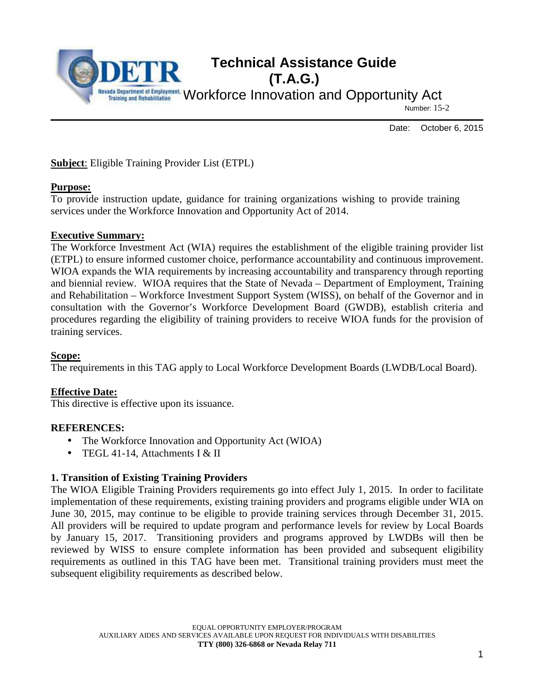

Date: October 6, 2015

**Subject**: Eligible Training Provider List (ETPL)

#### **Purpose:**

To provide instruction update, guidance for training organizations wishing to provide training services under the Workforce Innovation and Opportunity Act of 2014.

#### **Executive Summary:**

The Workforce Investment Act (WIA) requires the establishment of the eligible training provider list (ETPL) to ensure informed customer choice, performance accountability and continuous improvement. WIOA expands the WIA requirements by increasing accountability and transparency through reporting and biennial review. WIOA requires that the State of Nevada – Department of Employment, Training and Rehabilitation – Workforce Investment Support System (WISS), on behalf of the Governor and in consultation with the Governor's Workforce Development Board (GWDB), establish criteria and procedures regarding the eligibility of training providers to receive WIOA funds for the provision of training services.

### **Scope:**

The requirements in this TAG apply to Local Workforce Development Boards (LWDB/Local Board).

### **Effective Date:**

This directive is effective upon its issuance.

#### **REFERENCES:**

- The Workforce Innovation and Opportunity Act (WIOA)
- TEGL 41-14, Attachments I & II

### **1. Transition of Existing Training Providers**

The WIOA Eligible Training Providers requirements go into effect July 1, 2015. In order to facilitate implementation of these requirements, existing training providers and programs eligible under WIA on June 30, 2015, may continue to be eligible to provide training services through December 31, 2015. All providers will be required to update program and performance levels for review by Local Boards by January 15, 2017. Transitioning providers and programs approved by LWDBs will then be reviewed by WISS to ensure complete information has been provided and subsequent eligibility requirements as outlined in this TAG have been met. Transitional training providers must meet the subsequent eligibility requirements as described below.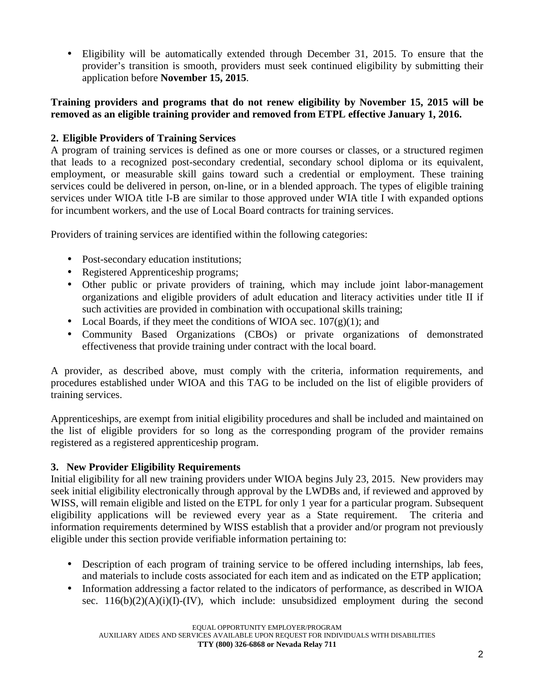• Eligibility will be automatically extended through December 31, 2015. To ensure that the provider's transition is smooth, providers must seek continued eligibility by submitting their application before **November 15, 2015**.

# **Training providers and programs that do not renew eligibility by November 15, 2015 will be removed as an eligible training provider and removed from ETPL effective January 1, 2016.**

# **2. Eligible Providers of Training Services**

A program of training services is defined as one or more courses or classes, or a structured regimen that leads to a recognized post-secondary credential, secondary school diploma or its equivalent, employment, or measurable skill gains toward such a credential or employment. These training services could be delivered in person, on-line, or in a blended approach. The types of eligible training services under WIOA title I-B are similar to those approved under WIA title I with expanded options for incumbent workers, and the use of Local Board contracts for training services.

Providers of training services are identified within the following categories:

- Post-secondary education institutions;
- Registered Apprenticeship programs;
- Other public or private providers of training, which may include joint labor-management organizations and eligible providers of adult education and literacy activities under title II if such activities are provided in combination with occupational skills training;
- Local Boards, if they meet the conditions of WIOA sec.  $107(g)(1)$ ; and
- Community Based Organizations (CBOs) or private organizations of demonstrated effectiveness that provide training under contract with the local board.

A provider, as described above, must comply with the criteria, information requirements, and procedures established under WIOA and this TAG to be included on the list of eligible providers of training services.

Apprenticeships, are exempt from initial eligibility procedures and shall be included and maintained on the list of eligible providers for so long as the corresponding program of the provider remains registered as a registered apprenticeship program.

# **3. New Provider Eligibility Requirements**

Initial eligibility for all new training providers under WIOA begins July 23, 2015. New providers may seek initial eligibility electronically through approval by the LWDBs and, if reviewed and approved by WISS, will remain eligible and listed on the ETPL for only 1 year for a particular program. Subsequent eligibility applications will be reviewed every year as a State requirement. The criteria and information requirements determined by WISS establish that a provider and/or program not previously eligible under this section provide verifiable information pertaining to:

- Description of each program of training service to be offered including internships, lab fees, and materials to include costs associated for each item and as indicated on the ETP application;
- Information addressing a factor related to the indicators of performance, as described in WIOA sec.  $116(b)(2)(A)(i)(I)-(IV)$ , which include: unsubsidized employment during the second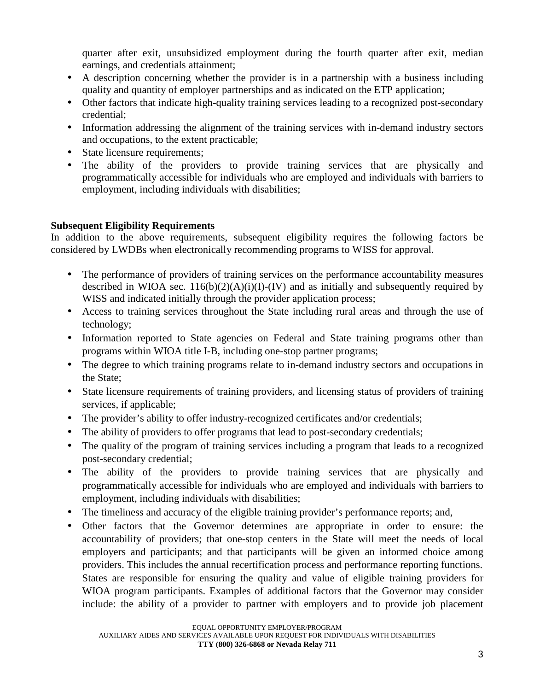quarter after exit, unsubsidized employment during the fourth quarter after exit, median earnings, and credentials attainment;

- A description concerning whether the provider is in a partnership with a business including quality and quantity of employer partnerships and as indicated on the ETP application;
- Other factors that indicate high-quality training services leading to a recognized post-secondary credential;
- Information addressing the alignment of the training services with in-demand industry sectors and occupations, to the extent practicable;
- State licensure requirements;
- The ability of the providers to provide training services that are physically and programmatically accessible for individuals who are employed and individuals with barriers to employment, including individuals with disabilities;

# **Subsequent Eligibility Requirements**

In addition to the above requirements, subsequent eligibility requires the following factors be considered by LWDBs when electronically recommending programs to WISS for approval.

- The performance of providers of training services on the performance accountability measures described in WIOA sec.  $116(b)(2)(A)(i)(I)-(IV)$  and as initially and subsequently required by WISS and indicated initially through the provider application process;
- Access to training services throughout the State including rural areas and through the use of technology;
- Information reported to State agencies on Federal and State training programs other than programs within WIOA title I-B, including one-stop partner programs;
- The degree to which training programs relate to in-demand industry sectors and occupations in the State;
- State licensure requirements of training providers, and licensing status of providers of training services, if applicable;
- The provider's ability to offer industry-recognized certificates and/or credentials;
- The ability of providers to offer programs that lead to post-secondary credentials;
- The quality of the program of training services including a program that leads to a recognized post-secondary credential;
- The ability of the providers to provide training services that are physically and programmatically accessible for individuals who are employed and individuals with barriers to employment, including individuals with disabilities;
- The timeliness and accuracy of the eligible training provider's performance reports; and,
- Other factors that the Governor determines are appropriate in order to ensure: the accountability of providers; that one-stop centers in the State will meet the needs of local employers and participants; and that participants will be given an informed choice among providers. This includes the annual recertification process and performance reporting functions. States are responsible for ensuring the quality and value of eligible training providers for WIOA program participants. Examples of additional factors that the Governor may consider include: the ability of a provider to partner with employers and to provide job placement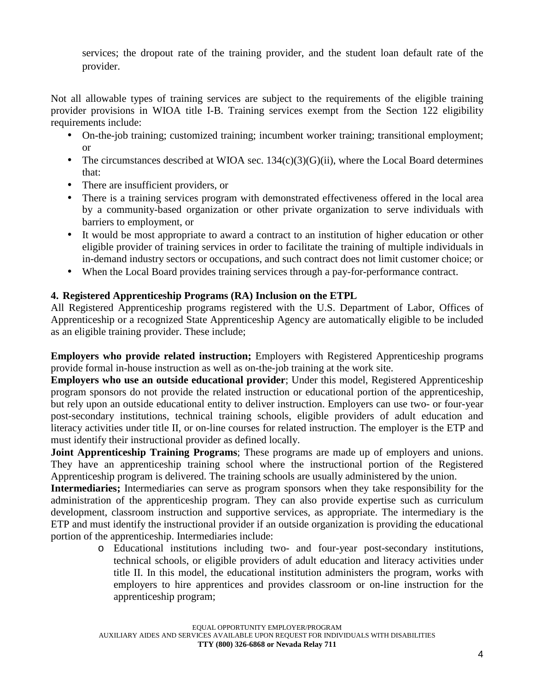services; the dropout rate of the training provider, and the student loan default rate of the provider.

Not all allowable types of training services are subject to the requirements of the eligible training provider provisions in WIOA title I-B. Training services exempt from the Section 122 eligibility requirements include:

- On-the-job training; customized training; incumbent worker training; transitional employment; or
- The circumstances described at WIOA sec.  $134(c)(3)(G)(ii)$ , where the Local Board determines that:
- There are insufficient providers, or
- There is a training services program with demonstrated effectiveness offered in the local area by a community-based organization or other private organization to serve individuals with barriers to employment, or
- It would be most appropriate to award a contract to an institution of higher education or other eligible provider of training services in order to facilitate the training of multiple individuals in in-demand industry sectors or occupations, and such contract does not limit customer choice; or
- When the Local Board provides training services through a pay-for-performance contract.

# **4. Registered Apprenticeship Programs (RA) Inclusion on the ETPL**

All Registered Apprenticeship programs registered with the U.S. Department of Labor, Offices of Apprenticeship or a recognized State Apprenticeship Agency are automatically eligible to be included as an eligible training provider. These include;

**Employers who provide related instruction;** Employers with Registered Apprenticeship programs provide formal in-house instruction as well as on-the-job training at the work site.

**Employers who use an outside educational provider**; Under this model, Registered Apprenticeship program sponsors do not provide the related instruction or educational portion of the apprenticeship, but rely upon an outside educational entity to deliver instruction. Employers can use two- or four-year post-secondary institutions, technical training schools, eligible providers of adult education and literacy activities under title II, or on-line courses for related instruction. The employer is the ETP and must identify their instructional provider as defined locally.

**Joint Apprenticeship Training Programs**; These programs are made up of employers and unions. They have an apprenticeship training school where the instructional portion of the Registered Apprenticeship program is delivered. The training schools are usually administered by the union.

**Intermediaries;** Intermediaries can serve as program sponsors when they take responsibility for the administration of the apprenticeship program. They can also provide expertise such as curriculum development, classroom instruction and supportive services, as appropriate. The intermediary is the ETP and must identify the instructional provider if an outside organization is providing the educational portion of the apprenticeship. Intermediaries include:

o Educational institutions including two- and four-year post-secondary institutions, technical schools, or eligible providers of adult education and literacy activities under title II. In this model, the educational institution administers the program, works with employers to hire apprentices and provides classroom or on-line instruction for the apprenticeship program;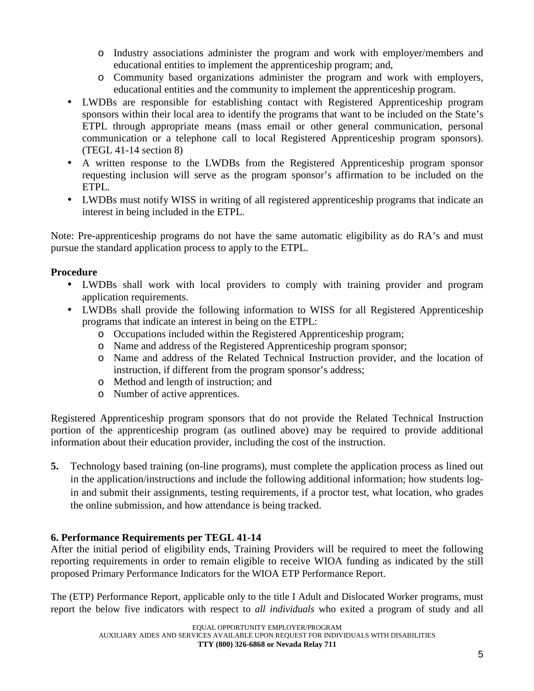- o Industry associations administer the program and work with employer/members and educational entities to implement the apprenticeship program; and,
- o Community based organizations administer the program and work with employers, educational entities and the community to implement the apprenticeship program.
- LWDBs are responsible for establishing contact with Registered Apprenticeship program sponsors within their local area to identify the programs that want to be included on the State's ETPL through appropriate means (mass email or other general communication, personal communication or a telephone call to local Registered Apprenticeship program sponsors). (TEGL 41-14 section 8)
- A written response to the LWDBs from the Registered Apprenticeship program sponsor requesting inclusion will serve as the program sponsor's affirmation to be included on the ETPL.
- LWDBs must notify WISS in writing of all registered apprenticeship programs that indicate an interest in being included in the ETPL.

Note: Pre-apprenticeship programs do not have the same automatic eligibility as do RA's and must pursue the standard application process to apply to the ETPL.

# **Procedure**

- LWDBs shall work with local providers to comply with training provider and program application requirements.
- LWDBs shall provide the following information to WISS for all Registered Apprenticeship programs that indicate an interest in being on the ETPL:
	- o Occupations included within the Registered Apprenticeship program;
	- o Name and address of the Registered Apprenticeship program sponsor;
	- o Name and address of the Related Technical Instruction provider, and the location of instruction, if different from the program sponsor's address;
	- o Method and length of instruction; and
	- o Number of active apprentices.

Registered Apprenticeship program sponsors that do not provide the Related Technical Instruction portion of the apprenticeship program (as outlined above) may be required to provide additional information about their education provider, including the cost of the instruction.

**5.** Technology based training (on-line programs), must complete the application process as lined out in the application/instructions and include the following additional information; how students login and submit their assignments, testing requirements, if a proctor test, what location, who grades the online submission, and how attendance is being tracked.

# **6. Performance Requirements per TEGL 41-14**

After the initial period of eligibility ends, Training Providers will be required to meet the following reporting requirements in order to remain eligible to receive WIOA funding as indicated by the still proposed Primary Performance Indicators for the WIOA ETP Performance Report.

The (ETP) Performance Report, applicable only to the title I Adult and Dislocated Worker programs, must report the below five indicators with respect to *all individuals* who exited a program of study and all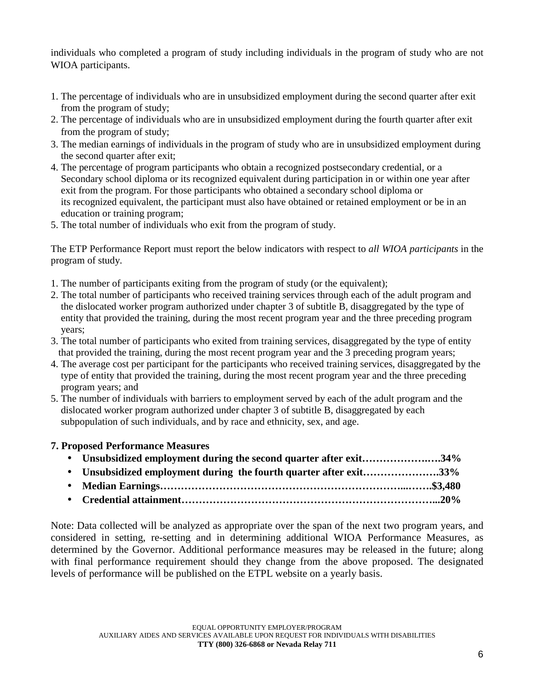individuals who completed a program of study including individuals in the program of study who are not WIOA participants.

- 1. The percentage of individuals who are in unsubsidized employment during the second quarter after exit from the program of study;
- 2. The percentage of individuals who are in unsubsidized employment during the fourth quarter after exit from the program of study;
- 3. The median earnings of individuals in the program of study who are in unsubsidized employment during the second quarter after exit;
- 4. The percentage of program participants who obtain a recognized postsecondary credential, or a Secondary school diploma or its recognized equivalent during participation in or within one year after exit from the program. For those participants who obtained a secondary school diploma or its recognized equivalent, the participant must also have obtained or retained employment or be in an education or training program;
- 5. The total number of individuals who exit from the program of study.

The ETP Performance Report must report the below indicators with respect to *all WIOA participants* in the program of study.

- 1. The number of participants exiting from the program of study (or the equivalent);
- 2. The total number of participants who received training services through each of the adult program and the dislocated worker program authorized under chapter 3 of subtitle B, disaggregated by the type of entity that provided the training, during the most recent program year and the three preceding program years;
- 3. The total number of participants who exited from training services, disaggregated by the type of entity that provided the training, during the most recent program year and the 3 preceding program years;
- 4. The average cost per participant for the participants who received training services, disaggregated by the type of entity that provided the training, during the most recent program year and the three preceding program years; and
- 5. The number of individuals with barriers to employment served by each of the adult program and the dislocated worker program authorized under chapter 3 of subtitle B, disaggregated by each subpopulation of such individuals, and by race and ethnicity, sex, and age.

### **7. Proposed Performance Measures**

| • Unsubsidized employment during the second quarter after exit34% |  |
|-------------------------------------------------------------------|--|
| • Unsubsidized employment during the fourth quarter after exit33% |  |
|                                                                   |  |
|                                                                   |  |

Note: Data collected will be analyzed as appropriate over the span of the next two program years, and considered in setting, re-setting and in determining additional WIOA Performance Measures, as determined by the Governor. Additional performance measures may be released in the future; along with final performance requirement should they change from the above proposed. The designated levels of performance will be published on the ETPL website on a yearly basis.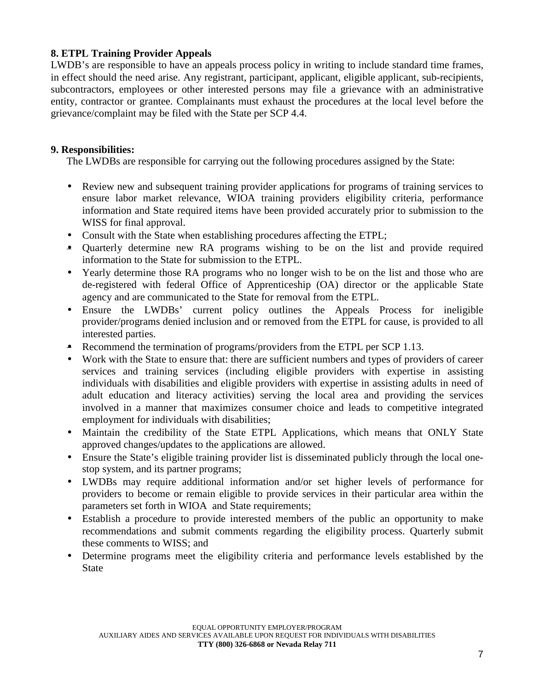# **8. ETPL Training Provider Appeals**

LWDB's are responsible to have an appeals process policy in writing to include standard time frames, in effect should the need arise. Any registrant, participant, applicant, eligible applicant, sub-recipients, subcontractors, employees or other interested persons may file a grievance with an administrative entity, contractor or grantee. Complainants must exhaust the procedures at the local level before the grievance/complaint may be filed with the State per SCP 4.4.

## **9. Responsibilities:**

The LWDBs are responsible for carrying out the following procedures assigned by the State:

- Review new and subsequent training provider applications for programs of training services to ensure labor market relevance, WIOA training providers eligibility criteria, performance information and State required items have been provided accurately prior to submission to the WISS for final approval.
- Consult with the State when establishing procedures affecting the ETPL;
- Quarterly determine new RA programs wishing to be on the list and provide required information to the State for submission to the ETPL.
- Yearly determine those RA programs who no longer wish to be on the list and those who are de-registered with federal Office of Apprenticeship (OA) director or the applicable State agency and are communicated to the State for removal from the ETPL.
- Ensure the LWDBs' current policy outlines the Appeals Process for ineligible provider/programs denied inclusion and or removed from the ETPL for cause, is provided to all interested parties.
- Recommend the termination of programs/providers from the ETPL per SCP 1.13.
- Work with the State to ensure that: there are sufficient numbers and types of providers of career services and training services (including eligible providers with expertise in assisting individuals with disabilities and eligible providers with expertise in assisting adults in need of adult education and literacy activities) serving the local area and providing the services involved in a manner that maximizes consumer choice and leads to competitive integrated employment for individuals with disabilities;
- Maintain the credibility of the State ETPL Applications, which means that ONLY State approved changes/updates to the applications are allowed.
- Ensure the State's eligible training provider list is disseminated publicly through the local onestop system, and its partner programs;
- LWDBs may require additional information and/or set higher levels of performance for providers to become or remain eligible to provide services in their particular area within the parameters set forth in WIOA and State requirements;
- Establish a procedure to provide interested members of the public an opportunity to make recommendations and submit comments regarding the eligibility process. Quarterly submit these comments to WISS; and
- Determine programs meet the eligibility criteria and performance levels established by the State